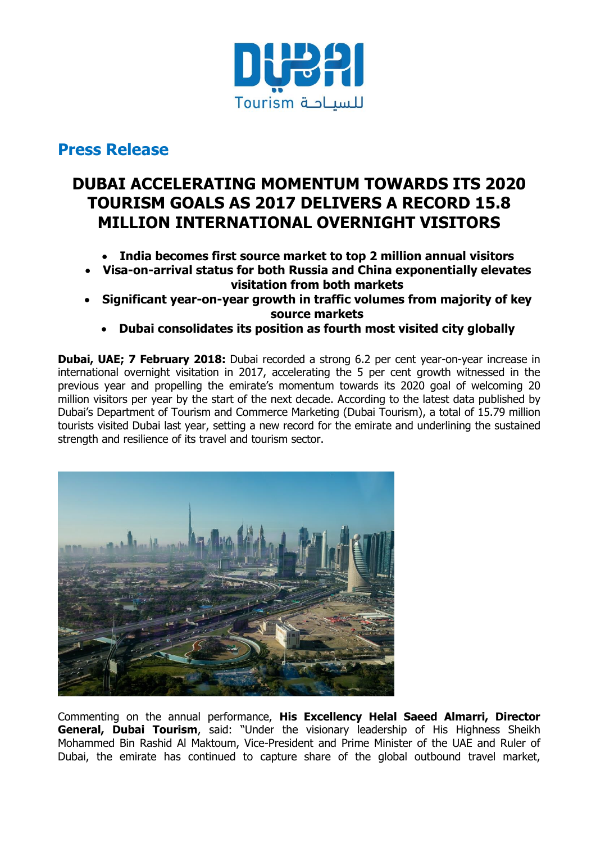

# **Press Release**

# **DUBAI ACCELERATING MOMENTUM TOWARDS ITS 2020 TOURISM GOALS AS 2017 DELIVERS A RECORD 15.8 MILLION INTERNATIONAL OVERNIGHT VISITORS**

- **India becomes first source market to top 2 million annual visitors**
- **Visa-on-arrival status for both Russia and China exponentially elevates visitation from both markets**
- **Significant year-on-year growth in traffic volumes from majority of key source markets**
	- **Dubai consolidates its position as fourth most visited city globally**

**Dubai, UAE; 7 February 2018:** Dubai recorded a strong 6.2 per cent year-on-year increase in international overnight visitation in 2017, accelerating the 5 per cent growth witnessed in the previous year and propelling the emirate's momentum towards its 2020 goal of welcoming 20 million visitors per year by the start of the next decade. According to the latest data published by Dubai"s Department of Tourism and Commerce Marketing (Dubai Tourism), a total of 15.79 million tourists visited Dubai last year, setting a new record for the emirate and underlining the sustained strength and resilience of its travel and tourism sector.



Commenting on the annual performance, **His Excellency Helal Saeed Almarri, Director General, Dubai Tourism**, said: "Under the visionary leadership of His Highness Sheikh Mohammed Bin Rashid Al Maktoum, Vice-President and Prime Minister of the UAE and Ruler of Dubai, the emirate has continued to capture share of the global outbound travel market,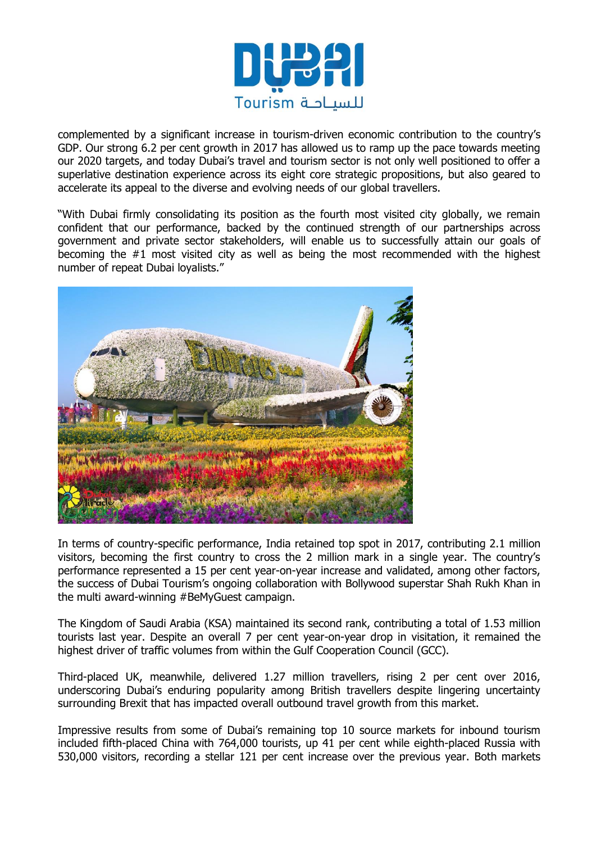

complemented by a significant increase in tourism-driven economic contribution to the country"s GDP. Our strong 6.2 per cent growth in 2017 has allowed us to ramp up the pace towards meeting our 2020 targets, and today Dubai's travel and tourism sector is not only well positioned to offer a superlative destination experience across its eight core strategic propositions, but also geared to accelerate its appeal to the diverse and evolving needs of our global travellers.

"With Dubai firmly consolidating its position as the fourth most visited city globally, we remain confident that our performance, backed by the continued strength of our partnerships across government and private sector stakeholders, will enable us to successfully attain our goals of becoming the #1 most visited city as well as being the most recommended with the highest number of repeat Dubai loyalists."



In terms of country-specific performance, India retained top spot in 2017, contributing 2.1 million visitors, becoming the first country to cross the 2 million mark in a single year. The country"s performance represented a 15 per cent year-on-year increase and validated, among other factors, the success of Dubai Tourism"s ongoing collaboration with Bollywood superstar Shah Rukh Khan in the multi award-winning #BeMyGuest campaign.

The Kingdom of Saudi Arabia (KSA) maintained its second rank, contributing a total of 1.53 million tourists last year. Despite an overall 7 per cent year-on-year drop in visitation, it remained the highest driver of traffic volumes from within the Gulf Cooperation Council (GCC).

Third-placed UK, meanwhile, delivered 1.27 million travellers, rising 2 per cent over 2016, underscoring Dubai's enduring popularity among British travellers despite lingering uncertainty surrounding Brexit that has impacted overall outbound travel growth from this market.

Impressive results from some of Dubai"s remaining top 10 source markets for inbound tourism included fifth-placed China with 764,000 tourists, up 41 per cent while eighth-placed Russia with 530,000 visitors, recording a stellar 121 per cent increase over the previous year. Both markets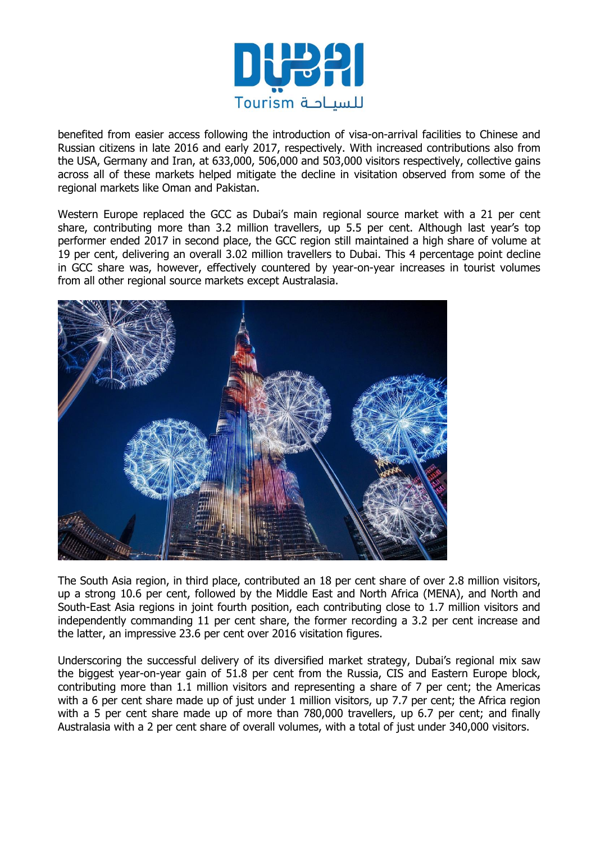

benefited from easier access following the introduction of visa-on-arrival facilities to Chinese and Russian citizens in late 2016 and early 2017, respectively. With increased contributions also from the USA, Germany and Iran, at 633,000, 506,000 and 503,000 visitors respectively, collective gains across all of these markets helped mitigate the decline in visitation observed from some of the regional markets like Oman and Pakistan.

Western Europe replaced the GCC as Dubai's main regional source market with a 21 per cent share, contributing more than 3.2 million travellers, up 5.5 per cent. Although last year's top performer ended 2017 in second place, the GCC region still maintained a high share of volume at 19 per cent, delivering an overall 3.02 million travellers to Dubai. This 4 percentage point decline in GCC share was, however, effectively countered by year-on-year increases in tourist volumes from all other regional source markets except Australasia.



The South Asia region, in third place, contributed an 18 per cent share of over 2.8 million visitors, up a strong 10.6 per cent, followed by the Middle East and North Africa (MENA), and North and South-East Asia regions in joint fourth position, each contributing close to 1.7 million visitors and independently commanding 11 per cent share, the former recording a 3.2 per cent increase and the latter, an impressive 23.6 per cent over 2016 visitation figures.

Underscoring the successful delivery of its diversified market strategy, Dubai's regional mix saw the biggest year-on-year gain of 51.8 per cent from the Russia, CIS and Eastern Europe block, contributing more than 1.1 million visitors and representing a share of 7 per cent; the Americas with a 6 per cent share made up of just under 1 million visitors, up 7.7 per cent; the Africa region with a 5 per cent share made up of more than 780,000 travellers, up 6.7 per cent; and finally Australasia with a 2 per cent share of overall volumes, with a total of just under 340,000 visitors.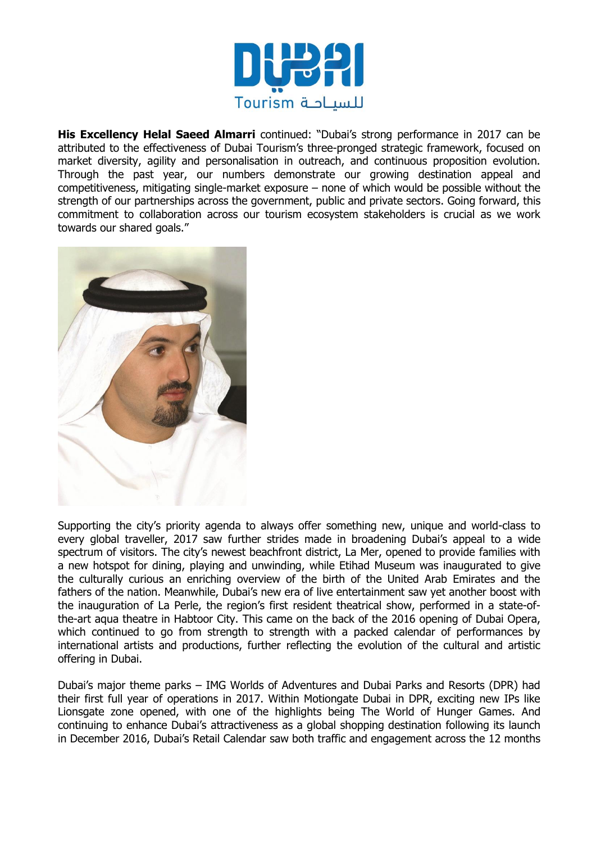

**His Excellency Helal Saeed Almarri** continued: "Dubai's strong performance in 2017 can be attributed to the effectiveness of Dubai Tourism's three-pronged strategic framework, focused on market diversity, agility and personalisation in outreach, and continuous proposition evolution. Through the past year, our numbers demonstrate our growing destination appeal and competitiveness, mitigating single-market exposure – none of which would be possible without the strength of our partnerships across the government, public and private sectors. Going forward, this commitment to collaboration across our tourism ecosystem stakeholders is crucial as we work towards our shared goals."



Supporting the city"s priority agenda to always offer something new, unique and world-class to every global traveller, 2017 saw further strides made in broadening Dubai's appeal to a wide spectrum of visitors. The city's newest beachfront district, La Mer, opened to provide families with a new hotspot for dining, playing and unwinding, while Etihad Museum was inaugurated to give the culturally curious an enriching overview of the birth of the United Arab Emirates and the fathers of the nation. Meanwhile, Dubai's new era of live entertainment saw yet another boost with the inauguration of La Perle, the region's first resident theatrical show, performed in a state-ofthe-art aqua theatre in Habtoor City. This came on the back of the 2016 opening of Dubai Opera, which continued to go from strength to strength with a packed calendar of performances by international artists and productions, further reflecting the evolution of the cultural and artistic offering in Dubai.

Dubai"s major theme parks – IMG Worlds of Adventures and Dubai Parks and Resorts (DPR) had their first full year of operations in 2017. Within Motiongate Dubai in DPR, exciting new IPs like Lionsgate zone opened, with one of the highlights being The World of Hunger Games. And continuing to enhance Dubai's attractiveness as a global shopping destination following its launch in December 2016, Dubai"s Retail Calendar saw both traffic and engagement across the 12 months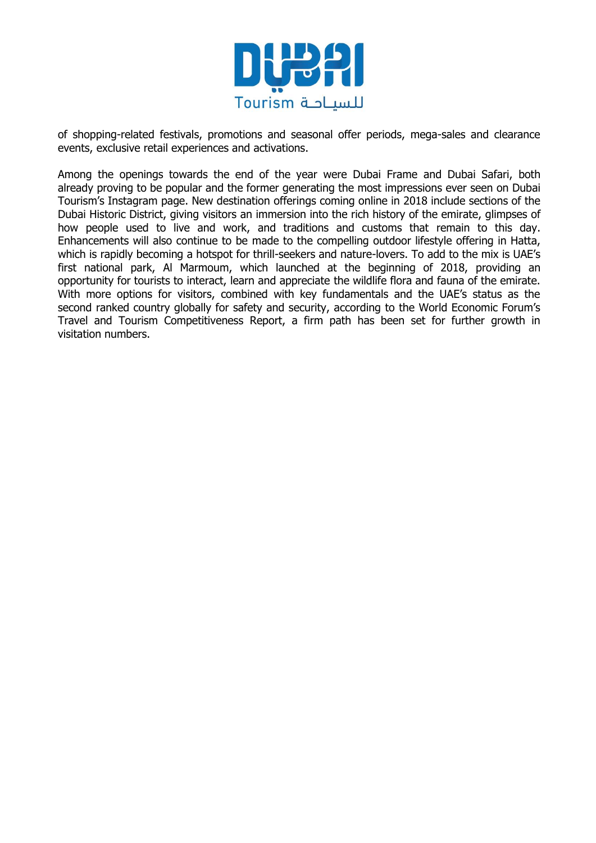

of shopping-related festivals, promotions and seasonal offer periods, mega-sales and clearance events, exclusive retail experiences and activations.

Among the openings towards the end of the year were Dubai Frame and Dubai Safari, both already proving to be popular and the former generating the most impressions ever seen on Dubai Tourism"s Instagram page. New destination offerings coming online in 2018 include sections of the Dubai Historic District, giving visitors an immersion into the rich history of the emirate, glimpses of how people used to live and work, and traditions and customs that remain to this day. Enhancements will also continue to be made to the compelling outdoor lifestyle offering in Hatta, which is rapidly becoming a hotspot for thrill-seekers and nature-lovers. To add to the mix is UAE"s first national park, Al Marmoum, which launched at the beginning of 2018, providing an opportunity for tourists to interact, learn and appreciate the wildlife flora and fauna of the emirate. With more options for visitors, combined with key fundamentals and the UAE"s status as the second ranked country globally for safety and security, according to the World Economic Forum's Travel and Tourism Competitiveness Report, a firm path has been set for further growth in visitation numbers.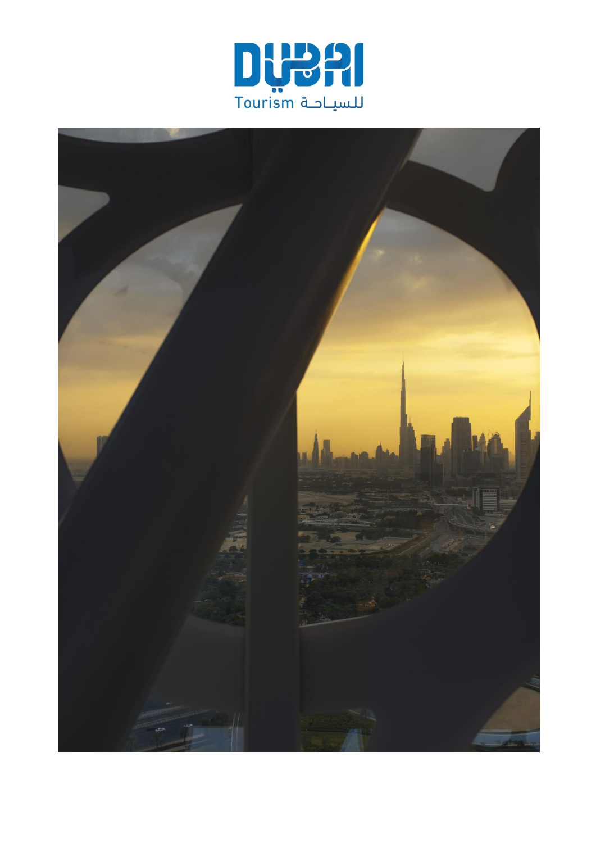

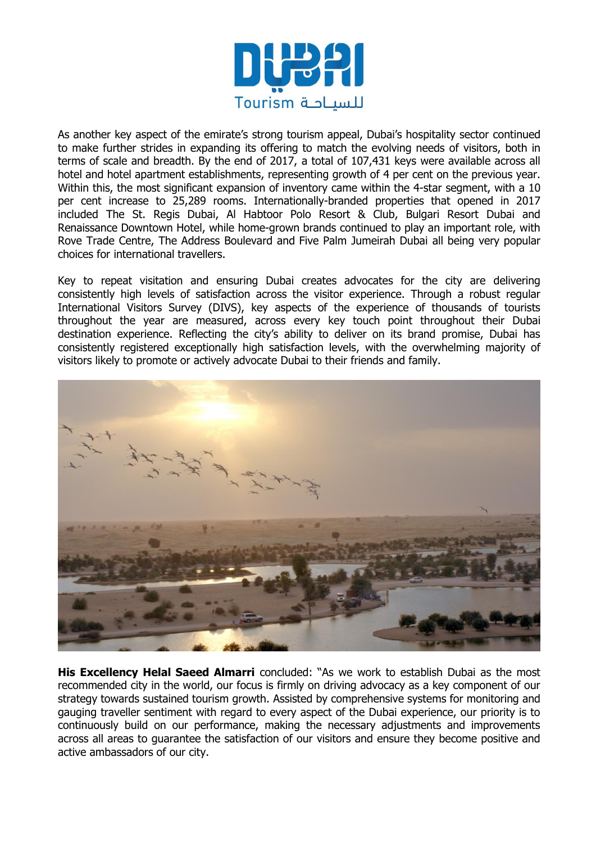

As another key aspect of the emirate's strong tourism appeal, Dubai's hospitality sector continued to make further strides in expanding its offering to match the evolving needs of visitors, both in terms of scale and breadth. By the end of 2017, a total of 107,431 keys were available across all hotel and hotel apartment establishments, representing growth of 4 per cent on the previous year. Within this, the most significant expansion of inventory came within the 4-star segment, with a 10 per cent increase to 25,289 rooms. Internationally-branded properties that opened in 2017 included The St. Regis Dubai, Al Habtoor Polo Resort & Club, Bulgari Resort Dubai and Renaissance Downtown Hotel, while home-grown brands continued to play an important role, with Rove Trade Centre, The Address Boulevard and Five Palm Jumeirah Dubai all being very popular choices for international travellers.

Key to repeat visitation and ensuring Dubai creates advocates for the city are delivering consistently high levels of satisfaction across the visitor experience. Through a robust regular International Visitors Survey (DIVS), key aspects of the experience of thousands of tourists throughout the year are measured, across every key touch point throughout their Dubai destination experience. Reflecting the city's ability to deliver on its brand promise, Dubai has consistently registered exceptionally high satisfaction levels, with the overwhelming majority of visitors likely to promote or actively advocate Dubai to their friends and family.



**His Excellency Helal Saeed Almarri** concluded: "As we work to establish Dubai as the most recommended city in the world, our focus is firmly on driving advocacy as a key component of our strategy towards sustained tourism growth. Assisted by comprehensive systems for monitoring and gauging traveller sentiment with regard to every aspect of the Dubai experience, our priority is to continuously build on our performance, making the necessary adjustments and improvements across all areas to guarantee the satisfaction of our visitors and ensure they become positive and active ambassadors of our city.